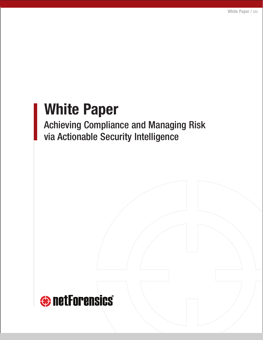# **White Paper**

Achieving Compliance and Managing Risk via Actionable Security Intelligence

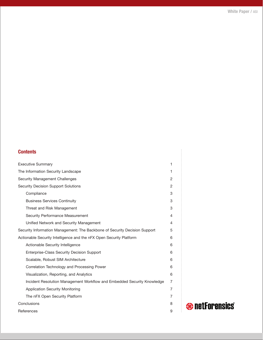# **Contents**

| <b>Executive Summary</b>                                                   | 1 |
|----------------------------------------------------------------------------|---|
| The Information Security Landscape                                         | 1 |
| <b>Security Management Challenges</b>                                      | 2 |
| <b>Security Decision Support Solutions</b>                                 | 2 |
| Compliance                                                                 | 3 |
| <b>Business Services Continuity</b>                                        | 3 |
| Threat and Risk Management                                                 | 3 |
| Security Performance Measurement                                           | 4 |
| Unified Network and Security Management                                    | 4 |
| Security Information Management: The Backbone of Security Decision Support | 5 |
| Actionable Security Intelligence and the nFX Open Security Platform        | 6 |
| Actionable Security Intelligence                                           | 6 |
| <b>Enterprise-Class Security Decision Support</b>                          | 6 |
| Scalable, Robust SIM Architecture                                          | 6 |
| Correlation Technology and Processing Power                                | 6 |
| Visualization, Reporting, and Analytics                                    | 6 |
| Incident Resolution Management Workflow and Embedded Security Knowledge    | 7 |
| <b>Application Security Monitoring</b>                                     | 7 |
| The nFX Open Security Platform                                             | 7 |
| Conclusions                                                                | 8 |
| References                                                                 | 9 |

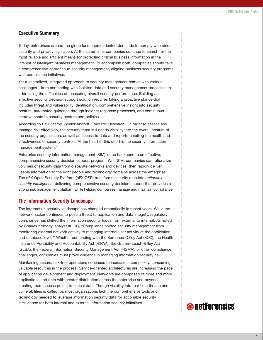# **Executive Summary**

Today, enterprises around the globe face unprecedented demands to comply with strict security and privacy legislation. At the same time, companies continue to search for the most reliable and efficient means for protecting critical business information in the interest of intelligent business management. To accomplish both, companies should take a comprehensive approach to security management, aligning business security programs with compliance initiatives.

Yet a centralized, integrated approach to security management comes with various challenges—from contending with isolated data and security management processes to addressing the difficulties of measuring overall security performance. Building an effective security decision support solution requires taking a proactive stance that includes threat and vulnerability identification, comprehensive insight into security posture, automated guidance through incident response processes, and continuous improvements to security posture and policies.

According to Paul Stamp, Senior Analyst, Forrester Research, "In order to assess and manage risk effectively, the security team still needs visibility into the overall posture of the security organization, as well as access to data and reports detailing the health and effectiveness of security controls. At the heart of this effort is the security information management system."<sup>1</sup>

Enterprise security information management (SIM) is the backbone to an effective, comprehensive security decision support program. With SIM, companies can rationalize volumes of security data from disparate networks and devices, then rapidly deliver usable information to the right people and technology domains across the enterprise. The nFX Open Security Platform (nFX OSP) transforms security data into *actionable security intelligence*, delivering comprehensive security decision support that provides a strong risk management platform while helping companies manage and maintain compliance.

# **The Information Security Landscape**

The information security landscape has changed dramatically in recent years. While the network hacker continues to pose a threat to application and data integrity, regulatory compliance has shifted the information security focus from external to internal. As noted by Charles Kolodgy, analyst at IDC, "Compliance shifted security management from monitoring external network activity to managing internal user activity at the application and database level."<sup>2</sup> Whether contending with the Sarbanes-Oxley Act (SOX), the Health Insurance Portability and Accountability Act (HIPAA), the Gramm-Leach-Bliley Act (GLBA), the Federal Information Security Management Act (FISMA), or other compliance challenges, companies must prove diligence in managing information security risk.

Maintaining secure, risk-free operations continues to increase in complexity, consuming valuable resources in the process. Service-oriented architectures are increasing the pace of application development and deployment. Networks are comprised of more and more applications and data with greater distribution across the enterprise and beyond, creating more access points to critical data. Though visibility into real-time threats and vulnerabilities is called for, most organizations lack the comprehensive tools and technology needed to leverage information security data for actionable security intelligence for both internal and external information security initiatives.

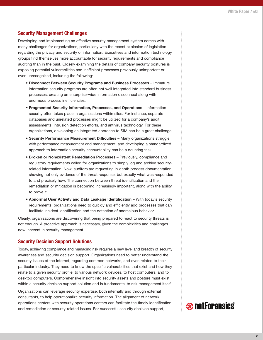# **Security Management Challenges**

Developing and implementing an effective security management system comes with many challenges for organizations, particularly with the recent explosion of legislation regarding the privacy and security of information. Executives and information technology groups find themselves more accountable for security requirements and compliance auditing than in the past. Closely examining the details of company security postures is exposing potential vulnerabilities and inefficient processes previously unimportant or even unrecognized, including the following:

- **Disconnect Between Security Programs and Business Processes** Immature information security programs are often not well integrated into standard business processes, creating an enterprise-wide information disconnect along with enormous process inefficiencies.
- **Fragmented Security Information, Processes, and Operations** Information security often takes place in organizations within silos. For instance, separate databases and unrelated processes might be utilized for a company's audit assessments, intrusion detection efforts, and antivirus technology. For these organizations, developing an integrated approach to SIM can be a great challenge.
- **Security Performance Measurement Difficulties** Many organizations struggle with performance measurement and management, and developing a standardized approach to information security accountability can be a daunting task.
- **Broken or Nonexistent Remediation Processes** Previously, compliance and regulatory requirements called for organizations to simply log and archive securityrelated information. Now, auditors are requesting in-depth process documentation, showing not only evidence of the threat response, but exactly what was responded to and precisely how. The connection between threat identification and the remediation or mitigation is becoming increasingly important, along with the ability to prove it.
- **Abnormal User Activity and Data Leakage Identification** With today's security requirements, organizations need to quickly and efficiently add processes that can facilitate incident identification and the detection of anomalous behavior.

Clearly, organizations are discovering that being prepared to react to security threats is not enough. A proactive approach is necessary, given the complexities and challenges now inherent in security management.

# **Security Decision Support Solutions**

Today, achieving compliance and managing risk requires a new level and breadth of security awareness and security decision support. Organizations need to better understand the security issues of the Internet, regarding common networks, and even related to their particular industry. They need to know the specific vulnerabilities that exist and how they relate to a given security profile, to various network devices, to host computers, and to desktop computers. Comprehensive insight into security assets and posture must exist within a security decision support solution and is fundamental to risk management itself.

Organizations can leverage security expertise, both internally and through external consultants, to help operationalize security information. The alignment of network operations centers with security operations centers can facilitate the timely identification and remediation or security-related issues. For successful security decision support,

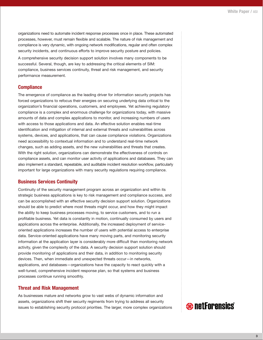organizations need to automate incident response processes once in place. These automated processes, however, must remain flexible and scalable. The nature of risk management and compliance is very dynamic, with ongoing network modifications, regular and often complex security incidents, and continuous efforts to improve security posture and policies.

A comprehensive security decision support solution involves many components to be successful. Several, though, are key to addressing the critical elements of SIM: compliance, business services continuity, threat and risk management, and security performance measurement.

# **Compliance**

The emergence of compliance as the leading driver for information security projects has forced organizations to refocus their energies on securing underlying data critical to the organization's financial operations, customers, and employees. Yet achieving regulatory compliance is a complex and enormous challenge for organizations today, with massive amounts of data and complex applications to monitor, and increasing numbers of users with access to those applications and data. An effective solution enables real-time identification and mitigation of internal and external threats and vulnerabilities across systems, devices, and applications, that can cause compliance violations. Organizations need accessibility to contextual information and to understand real-time network changes, such as adding assets, and the new vulnerabilities and threats that creates. With the right solution, organizations can demonstrate the effectiveness of controls on compliance assets, and can monitor user activity of applications and databases. They can also implement a standard, repeatable, and auditable incident resolution workflow, particularly important for large organizations with many security regulations requiring compliance.

#### **Business Services Continuity**

Continuity of the security management program across an organization and within its strategic business applications is key to risk management and compliance success, and can be accomplished with an effective security decision support solution. Organizations should be able to predict where most threats might occur, and how they might impact the ability to keep business processes moving, to service customers, and to run a profitable business. Yet data is constantly in motion, continually consumed by users and applications across the enterprise. Additionally, the increased deployment of serviceoriented applications increases the number of users with potential access to enterprise data. Service-oriented applications have many moving parts, and monitoring security information at the application layer is considerably more difficult than monitoring network activity, given the complexity of the data. A security decision support solution should provide monitoring of applications and their data, in addition to monitoring security devices. Then, when immediate and unexpected threats occur—in networks, applications, and databases—organizations have the capacity to react quickly with a well-tuned, comprehensive incident response plan, so that systems and business processes continue running smoothly.

#### **Threat and Risk Management**

As businesses mature and networks grow to vast webs of dynamic information and assets, organizations shift their security regiments from trying to address all security issues to establishing security protocol priorities. The larger, more complex organizations

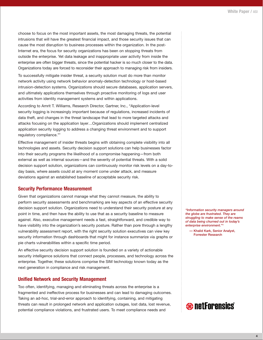choose to focus on the most important assets, the most damaging threats, the potential intrusions that will have the greatest financial impact, and those security issues that can cause the most disruption to business processes within the organization. In the post-Internet era, the focus for security organizations has been on stopping threats from outside the enterprise. Yet data leakage and inappropriate user activity from inside the enterprise are often bigger threats, since the potential hacker is so much closer to the data. Organizations today are forced to reconsider their approach to managing risk from insiders.

To successfully mitigate insider threat, a security solution must do more than monitor network activity using network behavior anomaly-detection technology or host-based intrusion-detection systems. Organizations should secure databases, application servers, and ultimately applications themselves through proactive monitoring of logs and user activities from identity management systems and within applications.

According to Amrit T. Williams, Research Director, Gartner, Inc., "Application-level security logging is increasingly important because of regulations, increased incidents of data theft, and changes in the threat landscape that lead to more targeted attacks and attacks focusing on the application layer…Organizations should implement centralized application security logging to address a changing threat environment and to support regulatory compliance."3

Effective management of insider threats begins with obtaining complete visibility into all technologies and assets. Security decision support solutions can help businesses factor into their security programs the likelihood of a compromise happening—from both external as well as internal sources—and the severity of potential threats. With a solid decision support solution, organizations can continuously monitor risk levels on a day-today basis, where assets could at any moment come under attack, and measure deviations against an established baseline of acceptable security risk.

### **Security Performance Measurement**

Given that organizations cannot manage what they cannot measure, the ability to perform security assessments and benchmarking are key aspects of an effective security decision support solution. Organizations need to understand their security posture at any point in time, and then have the ability to use that as a security baseline to measure against. Also, executive management needs a fast, straightforward, and credible way to have visibility into the organization's security posture. Rather than pore through a lengthy vulnerability assessment report, with the right security solution executives can view key security information through dashboards that might for instance summarize via graphs or pie charts vulnerabilities within a specific time period.

An effective security decision support solution is founded on a variety of actionable security intelligence solutions that connect people, processes, and technology across the enterprise. Together, these solutions comprise the SIM technology known today as the next generation in compliance and risk management.

#### **Unified Network and Security Management**

Too often, identifying, managing and eliminating threats across the enterprise is a fragmented and ineffective process for businesses and can lead to damaging outcomes. Taking an ad-hoc, trial-and-error approach to identifying, containing, and mitigating threats can result in prolonged network and application outages, lost data, lost revenue, potential compliance violations, and frustrated users. To meet compliance needs and

*"Information security managers around the globe are frustrated. They are struggling to make sense of the reams of data being churned out in today's enterprise environment."4*

**— Khalid Kark, Senior Analyst, Forrester Research**

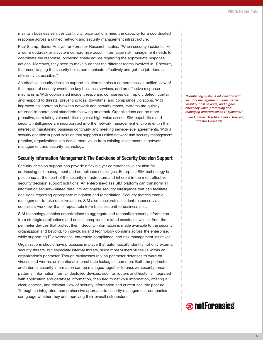maintain business services continuity, organizations need the capacity for a coordinated response across a unified network and security management infrastructure.

Paul Stamp, Senior Analyst for Forrester Research, states, "When security incidents like a worm outbreak or a system compromise occur, information risk management needs to coordinate the response, providing timely advice regarding the appropriate response actions. Moreover, they need to make sure that the different teams involved in IT security that need to plug the security holes communicate effectively and get the job done as efficiently as possible."

An effective security decision support solution enables a comprehensive, unified view of the impact of security events on key business services, and an effective response mechanism. With coordinated incident response, companies can rapidly detect, contain, and respond to threats, preventing loss, downtime, and compliance violations. With improved collaboration between network and security teams, systems are quickly returned to operational standards following an attack. Organizations can be more proactive, correlating vulnerabilities against high-value assets. SIM capabilities and security intelligence are incorporated into the network management environment in the interest of maintaining business continuity and meeting service-level agreements. With a security decision support solution that supports a unified network and security management practice, organizations can derive more value from existing investments in network management and security technology.

#### **Security Information Management: The Backbone of Security Decision Support**

Security decision support can provide a flexible yet comprehensive solution for addressing risk management and compliance challenges. Enterprise SIM technology is positioned at the heart of the security infrastructure and inherent in the most effective security decision support solutions. An enterprise-class SIM platform can transform all information security-related data into actionable security intelligence that can facilitate decisions regarding appropriate mitigation and remediation. Security metrics enable management to take decisive action. SIM also accelerates incident response via a consistent workflow that is repeatable from business unit to business unit.

SIM technology enables organizations to aggregate and rationalize security information from strategic applications and critical compliance-related assets, as well as from the perimeter devices that protect them. Security information is made available to the security organization and beyond, to individuals and technology domains across the enterprise, while supporting IT governance, enterprise compliance, and risk management initiatives.

Organizations should have processes in place that automatically identify not only external security threats, but especially internal threats, since most vulnerabilities lie within an organization's perimeter. Though businesses rely on perimeter defenses to ward off viruses and worms, unintentional internal data leakage is common. Both the perimeter and internal security information can be managed together to uncover security threat patterns. Information from all deployed devices, such as routers and hosts, is integrated with application and database information, then tied to network information, offering a clear, concise, and relevant view of security information and current security posture. Through an integrated, comprehensive approach to security management, companies can gauge whether they are improving their overall risk posture.

*"Combining systems information with security management means better visibility, cost savings, and higher efficiency when protecting and managing enterprisewide IT systems."5*

**— Thomas Raschke, Senior Analyst, Forrester Research**

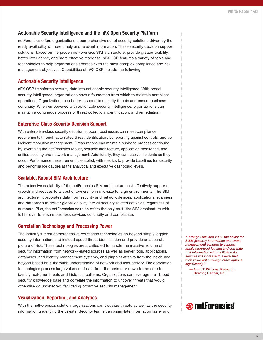# **Actionable Security Intelligence and the nFX Open Security Platform**

netForensics offers organizations a comprehensive set of security solutions driven by the ready availability of more timely and relevant information. These security decision support solutions, based on the proven netForensics SIM architecture, provide greater visibility, better intelligence, and more effective response. nFX OSP features a variety of tools and technologies to help organizations address even the most complex compliance and risk management objectives. Capabilities of nFX OSP include the following:

# **Actionable Security Intelligence**

nFX OSP transforms security data into actionable security intelligence. With broad security intelligence, organizations have a foundation from which to maintain compliant operations. Organizations can better respond to security threats and ensure business continuity. When empowered with actionable security intelligence, organizations can maintain a continuous process of threat collection, identification, and remediation.

# **Enterprise-Class Security Decision Support**

With enterprise-class security decision support, businesses can meet compliance requirements through automated threat identification, by reporting against controls, and via incident resolution management. Organizations can maintain business process continuity by leveraging the netForensics robust, scalable architecture, application monitoring, and unified security and network management. Additionally, they can resolve incidents as they occur. Performance measurement is enabled, with metrics to provide baselines for security and performance gauges at the analytical and executive dashboard levels.

# **Scalable, Robust SIM Architecture**

The extensive scalability of the netForensics SIM architecture cost-effectively supports growth and reduces total cost of ownership in mid-size to large environments. The SIM architecture incorporates data from security and network devices, applications, scanners, and databases to deliver global visibility into all security-related activities, regardless of numbers. Plus, the netForensics solution offers the only multi-tier SIM architecture with full failover to ensure business services continuity and compliance.

#### **Correlation Technology and Processing Power**

The industry's most comprehensive correlation technologies go beyond simply logging security information, and instead speed threat identification and provide an accurate picture of risk. These technologies are architected to handle the massive volume of security information from network-related sources as well as server logs, applications, databases, and identity management systems, and pinpoint attacks from the inside and beyond based on a thorough understanding of network and user activity. The correlation technologies process large volumes of data from the perimeter down to the core to identify real-time threats and historical patterns. Organizations can leverage their broad security knowledge base and correlate the information to uncover threats that would otherwise go undetected, facilitating proactive security management.

# **Visualization, Reporting, and Analytics**

With the netForensics solution, organizations can visualize threats as well as the security information underlying the threats. Security teams can assimilate information faster and

*"Through 2006 and 2007, the ability for SIEM [security information and event management] vendors to support application-level logging and correlate that information with multiple data sources will increase to a level that their value will outweigh other options significantly."3*

**— Amrit T. Williams, Research Director, Gartner, Inc.**

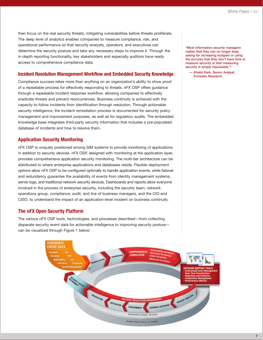then focus on the real security threats, mitigating vulnerabilities before threats proliferate. The deep level of analytics enables companies to measure compliance, risk, and operational performance so that security analysts, operators, and executives can determine the security posture and take any necessary steps to improve it. Through the in-depth reporting functionality, key stakeholders and especially auditors have ready access to comprehensive compliance data.

## **Incident Resolution Management Workflow and Embedded Security Knowledge**

Compliance success relies more than anything on an organization's ability to show proof of a repeatable process for effectively responding to threats. nFX OSP offers guidance through a repeatable incident response workflow, allowing companies to effectively eradicate threats and prevent reoccurrences. Business continuity is achieved with the capacity to follow incidents from identification through resolution. Through actionable security intelligence, the incident remediation process is documented for security policy management and improvement purposes, as well as for regulatory audits. The embedded knowledge base integrates third-party security information that includes a pre-populated database of incidents and how to resolve them.

# **Application Security Monitoring**

nFX OSP is uniquely positioned among SIM systems to provide monitoring of applications in addition to security devices. nFX OSP, designed with monitoring at the application layer, provides comprehensive application security monitoring. The multi-tier architecture can be distributed to where enterprise applications and databases reside. Flexible deployment options allow nFX OSP to be configured optimally to handle application events, while failover and redundancy guarantee the availability of events from identity management systems, server logs, and traditional network security devices. Dashboards and reports allow everyone involved in the process of enterprise security, including the security team, network operations group, compliance, audit, and line of business managers, and the CIO and CISO, to understand the impact of an application-level incident on business continuity.

# **The nFX Open Security Platform**

The various nFX OSP tools, technologies, and processes described—from collecting disparate security event data for actionable intelligence to improving security posture can be visualized through Figure 1 below:



*"Most information security managers realize that they can no longer keep asking for increasing budgets or using the excuses that they don't have time to measure security or that measuring security is simply impossible."4*

**— Khalid Kark, Senior Analyst, Forrester Research**